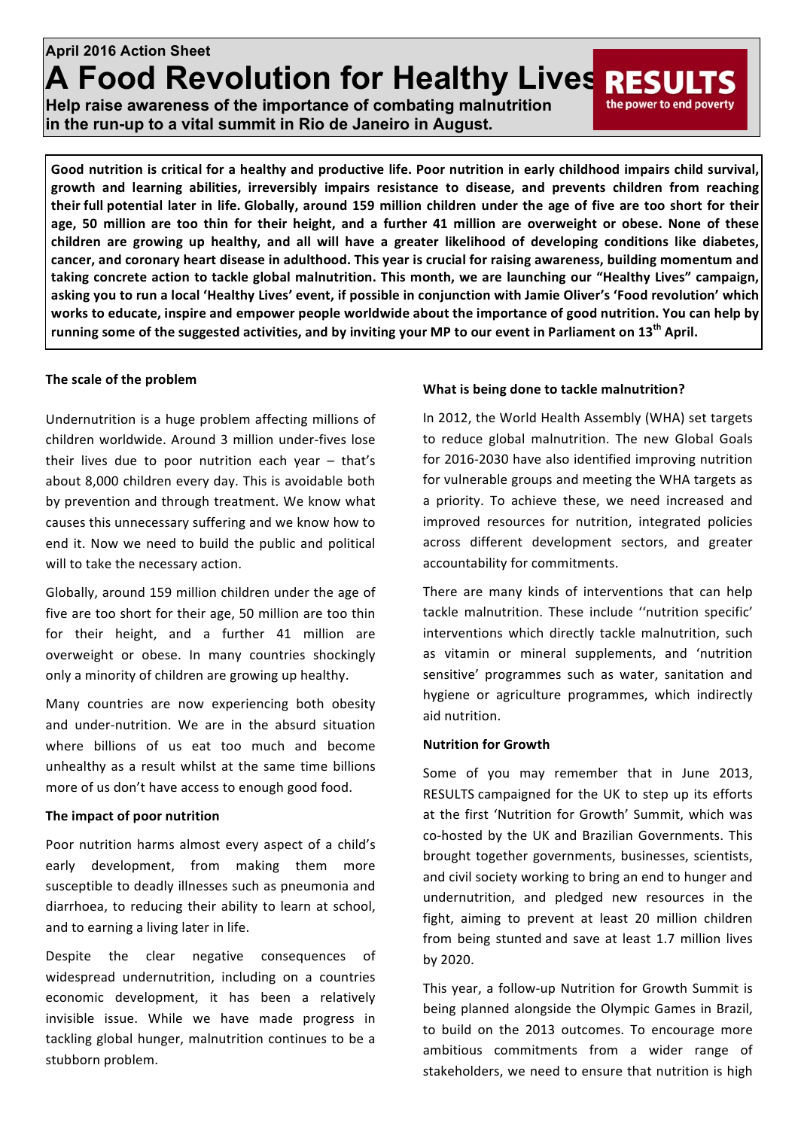# **April 2016 Action Sheet A Food Revolution for Healthy Lives RESU**

**Help raise awareness of the importance of combating malnutrition in the run-up to a vital summit in Rio de Janeiro in August.**

Good nutrition is critical for a healthy and productive life. Poor nutrition in early childhood impairs child survival, growth and learning abilities, irreversibly impairs resistance to disease, and prevents children from reaching **their** full potential later in life. Globally, around 159 million children under the age of five are too short for their age, 50 million are too thin for their height, and a further 41 million are overweight or obese. None of these children are growing up healthy, and all will have a greater likelihood of developing conditions like diabetes, cancer, and coronary heart disease in adulthood. This year is crucial for raising awareness, building momentum and taking concrete action to tackle global malnutrition. This month, we are launching our "Healthy Lives" campaign, asking you to run a local 'Healthy Lives' event, if possible in conjunction with Jamie Oliver's 'Food revolution' which works to educate, inspire and empower people worldwide about the importance of good nutrition. You can help by running some of the suggested activities, and by inviting your MP to our event in Parliament on 13<sup>th</sup> April.

## The scale of the problem

Undernutrition is a huge problem affecting millions of children worldwide. Around 3 million under-fives lose their lives due to poor nutrition each year  $-$  that's about 8,000 children every day. This is avoidable both by prevention and through treatment. We know what causes this unnecessary suffering and we know how to end it. Now we need to build the public and political will to take the necessary action.

Globally, around 159 million children under the age of five are too short for their age, 50 million are too thin for their height, and a further 41 million are overweight or obese. In many countries shockingly only a minority of children are growing up healthy.

Many countries are now experiencing both obesity and under-nutrition. We are in the absurd situation where billions of us eat too much and become unhealthy as a result whilst at the same time billions more of us don't have access to enough good food.

## **The impact of poor nutrition**

Poor nutrition harms almost every aspect of a child's early development, from making them more susceptible to deadly illnesses such as pneumonia and diarrhoea, to reducing their ability to learn at school, and to earning a living later in life.

Despite the clear negative consequences of widespread undernutrition, including on a countries economic development, it has been a relatively invisible issue. While we have made progress in tackling global hunger, malnutrition continues to be a stubborn problem.

## **What is being done to tackle malnutrition?**

In 2012, the World Health Assembly (WHA) set targets to reduce global malnutrition. The new Global Goals for 2016-2030 have also identified improving nutrition for vulnerable groups and meeting the WHA targets as a priority. To achieve these, we need increased and improved resources for nutrition, integrated policies across different development sectors, and greater accountability for commitments.

the power to end poverty

There are many kinds of interventions that can help tackle malnutrition. These include "nutrition specific' interventions which directly tackle malnutrition, such as vitamin or mineral supplements, and 'nutrition sensitive' programmes such as water, sanitation and hygiene or agriculture programmes, which indirectly aid nutrition.

## **Nutrition for Growth**

Some of you may remember that in June 2013, RESULTS campaigned for the UK to step up its efforts at the first 'Nutrition for Growth' Summit, which was co-hosted by the UK and Brazilian Governments. This brought together governments, businesses, scientists, and civil society working to bring an end to hunger and undernutrition, and pledged new resources in the fight, aiming to prevent at least 20 million children from being stunted and save at least 1.7 million lives by 2020.

This year, a follow-up Nutrition for Growth Summit is being planned alongside the Olympic Games in Brazil, to build on the 2013 outcomes. To encourage more ambitious commitments from a wider range of stakeholders, we need to ensure that nutrition is high